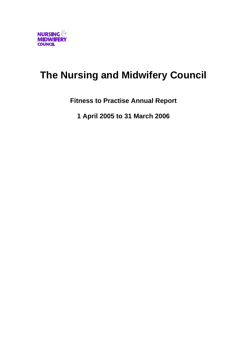

# **The Nursing and Midwifery Council**

**Fitness to Practise Annual Report** 

**1 April 2005 to 31 March 2006**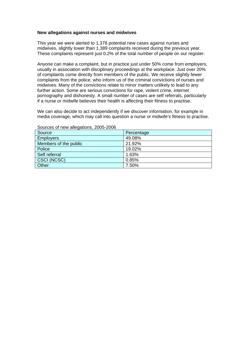#### **New allegations against nurses and midwives**

This year we were alerted to 1,378 potential new cases against nurses and midwives, slightly lower than 1,389 complaints received during the previous year. These complaints represent just 0.2% of the total number of people on our register.

Anyone can make a complaint, but in practice just under 50% come from employers, usually in association with disciplinary proceedings at the workplace. Just over 20% of complaints come directly from members of the public. We receive slightly fewer complaints from the police, who inform us of the criminal convictions of nurses and midwives. Many of the convictions relate to minor matters unlikely to lead to any further action. Some are serious convictions for rape, violent crime, internet pornography and dishonesty. A small number of cases are self referrals, particularly if a nurse or midwife believes their health is affecting their fitness to practise.

We can also decide to act independently if we discover information, for example in media coverage, which may call into question a nurse or midwife's fitness to practise.

| Source                | Percentage |
|-----------------------|------------|
| <b>Employers</b>      | 49.08%     |
| Members of the public | 21.92%     |
| Police                | 19.02%     |
| Self referral         | 1.63%      |
| CSCI (NCSC)           | 0.85%      |
| Other                 | 7.50%      |

#### Sources of new allegations, 2005-2006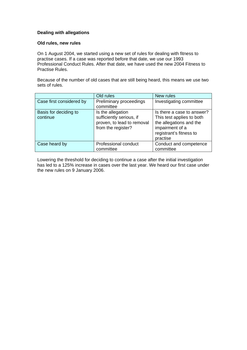## **Dealing with allegations**

### **Old rules, new rules**

On 1 August 2004, we started using a new set of rules for dealing with fitness to practise cases. If a case was reported before that date, we use our 1993 Professional Conduct Rules. After that date, we have used the new 2004 Fitness to Practise Rules.

Because of the number of old cases that are still being heard, this means we use two sets of rules.

|                                   | Old rules                                                                                         | New rules                                                                                                                                    |
|-----------------------------------|---------------------------------------------------------------------------------------------------|----------------------------------------------------------------------------------------------------------------------------------------------|
| Case first considered by          | Preliminary proceedings<br>committee                                                              | Investigating committee                                                                                                                      |
| Basis for deciding to<br>continue | Is the allegation<br>sufficiently serious, if<br>proven, to lead to removal<br>from the register? | Is there a case to answer?<br>This test applies to both<br>the allegations and the<br>impairment of a<br>registrant's fitness to<br>practise |
| Case heard by                     | Professional conduct<br>committee                                                                 | Conduct and competence<br>committee                                                                                                          |

Lowering the threshold for deciding to continue a case after the initial investigation has led to a 125% increase in cases over the last year. We heard our first case under the new rules on 9 January 2006.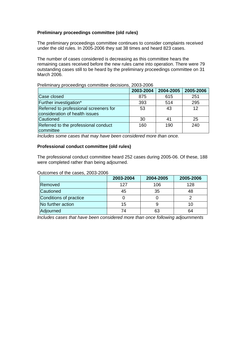# **Preliminary proceedings committee (old rules)**

The preliminary proceedings committee continues to consider complaints received under the old rules. In 2005-2006 they sat 38 times and heard 823 cases.

The number of cases considered is decreasing as this committee hears the remaining cases received before the new rules came into operation. There were 79 outstanding cases still to be heard by the preliminary proceedings committee on 31 March 2006.

|                                        | 2003-2004 | 2004-2005 | 2005-2006 |
|----------------------------------------|-----------|-----------|-----------|
| Case closed                            | 875       | 615       | 251       |
| Further investigation*                 | 393       | 514       | 295       |
| Referred to professional screeners for | 53        | 43        | 12        |
| consideration of health issues         |           |           |           |
| Cautioned                              | 30        |           | 25        |
| Referred to the professional conduct   | 160       | 190       | 240       |
| committee                              |           |           |           |

Preliminary proceedings committee decisions, 2003-2006

*Includes some cases that may have been considered more than once.* 

## **Professional conduct committee (old rules)**

The professional conduct committee heard 252 cases during 2005-06. Of these, 188 were completed rather than being adjourned.

#### Outcomes of the cases, 2003-2006

|                        | 2003-2004 | 2004-2005 | 2005-2006 |
|------------------------|-----------|-----------|-----------|
| Removed                | 127       | 106       | 128       |
| Cautioned              | 45        | 35        | 48        |
| Conditions of practice |           |           |           |
| No further action      | 15        |           |           |
| Adjourned              | 7Λ        | 63        | 64        |

*Includes cases that have been considered more than once following adjournments*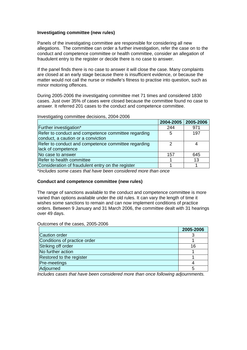## **Investigating committee (new rules)**

Panels of the investigating committee are responsible for considering all new allegations. The committee can order a further investigation, refer the case on to the conduct and competence committee or health committee, consider an allegation of fraudulent entry to the register or decide there is no case to answer.

If the panel finds there is no case to answer it will close the case. Many complaints are closed at an early stage because there is insufficient evidence, or because the matter would not call the nurse or midwife's fitness to practise into question, such as minor motoring offences.

During 2005-2006 the investigating committee met 71 times and considered 1830 cases. Just over 35% of cases were closed because the committee found no case to answer. It referred 201 cases to the conduct and competence committee.

Investigating committee decisions, 2004-2006

|                                                     | 2004-2005   2005-2006 |     |
|-----------------------------------------------------|-----------------------|-----|
| Further investigation*                              | 244                   | 971 |
| Refer to conduct and competence committee regarding | 5                     | 197 |
| conduct, a caution or a conviction                  |                       |     |
| Refer to conduct and competence committee regarding | 2                     |     |
| lack of competence                                  |                       |     |
| No case to answer                                   | 157                   | 645 |
| Refer to health committee                           |                       | 13  |
| Consideration of fraudulent entry on the register   |                       |     |
|                                                     |                       |     |

\**Includes some cases that have been considered more than once* 

## **Conduct and competence committee (new rules)**

The range of sanctions available to the conduct and competence committee is more varied than options available under the old rules. It can vary the length of time it wishes some sanctions to remain and can now implement conditions of practice orders. Between 9 January and 31 March 2006, the committee dealt with 31 hearings over 49 days.

Outcomes of the cases, 2005-2006

|                              | 2005-2006 |
|------------------------------|-----------|
| Caution order                |           |
| Conditions of practice order |           |
| Striking off order           | 16        |
| No further action            |           |
| Restored to the register     |           |
| Pre-meetings                 |           |
| Adjourned                    | 5         |

*Includes cases that have been considered more than once following adjournments.*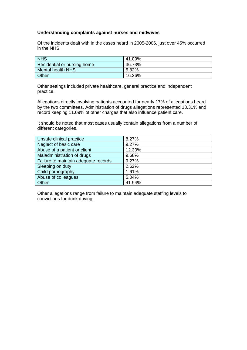## **Understanding complaints against nurses and midwives**

Of the incidents dealt with in the cases heard in 2005-2006, just over 45% occurred in the NHS.

| <b>NHS</b>                  | 41.09% |
|-----------------------------|--------|
| Residential or nursing home | 36.73% |
| Mental health NHS           | 5.82%  |
| <b>Other</b>                | 16.36% |

Other settings included private healthcare, general practice and independent practice.

Allegations directly involving patients accounted for nearly 17% of allegations heard by the two committees. Administration of drugs allegations represented 13.31% and record keeping 11.09% of other charges that also influence patient care.

It should be noted that most cases usually contain allegations from a number of different categories.

| Unsafe clinical practice             | 8.27%  |
|--------------------------------------|--------|
| Neglect of basic care                | 9.27%  |
| Abuse of a patient or client         | 12.30% |
| Maladministration of drugs           | 9.68%  |
| Failure to maintain adequate records | 9.27%  |
| Sleeping on duty                     | 2.62%  |
| Child pornography                    | 1.61%  |
| Abuse of colleagues                  | 5.04%  |
| Other                                | 41.94% |

Other allegations range from failure to maintain adequate staffing levels to convictions for drink driving.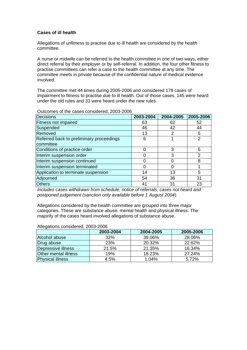## **Cases of ill health**

Allegations of unfitness to practise due to ill health are considered by the health committee.

A nurse or midwife can be referred to the health committee in one of two ways, either direct referral by their employer or by self-referral. In addition, the four other fitness to practise committees can refer a case to the health committee at any time. The committee meets in private because of the confidential nature of medical evidence involved.

The committee met 44 times during 2005-2006 and considered 178 cases of impairment to fitness to practise due to ill health. Out of those cases, 145 were heard under the old rules and 33 were heard under the new rules.

| <b>Decisions</b>                         | 2003-2004 | 2004-2005 | 2005-2006      |
|------------------------------------------|-----------|-----------|----------------|
| <b>Fitness not impaired</b>              | 63        | 62        | 52             |
| Suspended                                | 46        | 42        | 44             |
| Removed                                  | 13        | 2         | 5              |
| Referred back to preliminary proceedings | 6         |           | 2              |
| committee                                |           |           |                |
| Conditions of practice order             |           | 3         | 5              |
| Interim suspension order                 |           | 3         | $\mathfrak{p}$ |
| Interim suspension continued             |           | O         | 8              |
| Interim suspension terminated            |           | 0         |                |
| Application to terminate suspension      | 14        | 13        | 5              |
| Adjourned                                | 54        | 36        | 31             |
| <b>Others</b>                            | 41        | 31        | 23             |

#### Outcomes of the cases considered, 2003-2006

*Includes cases withdrawn from schedule, notice of referrals, cases not heard and postponed judgement (sanction only available before 1 August 2004).*

Allegations considered by the health committee are grouped into three major categories. These are substance abuse, mental health and physical illness. The majority of the cases heard involved allegations of substance abuse.

|                         | 2003-2004  | 2004-2005 | 2005-2006 |
|-------------------------|------------|-----------|-----------|
| Alcohol abuse           | 32%        | 39.06%    | 28.06%    |
| Drug abuse              | <b>23%</b> | 20.32%    | 22.62%    |
| Depressive illness      | 21.5%      | 21.35%    | 16.34%    |
| Other mental illness    | 19%        | 18.23%    | 27.24%    |
| <b>Physical illness</b> | 4.5%       | 1.04%     | 5.72%     |

#### Allegations considered, 2003-2006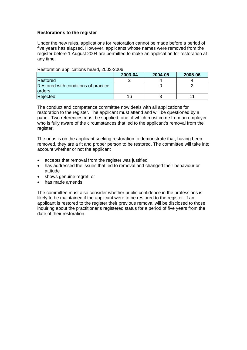## **Restorations to the register**

Under the new rules, applications for restoration cannot be made before a period of five years has elapsed. However, applicants whose names were removed from the register before 1 August 2004 are permitted to make an application for restoration at any time.

## Restoration applications heard, 2003-2006

|                                                       | 2003-04 | 2004-05 | 2005-06 |
|-------------------------------------------------------|---------|---------|---------|
| Restored                                              |         |         |         |
| Restored with conditions of practice<br><b>orders</b> | -       |         |         |
| Rejected                                              | 16      |         |         |

The conduct and competence committee now deals with all applications for restoration to the register. The applicant must attend and will be questioned by a panel. Two references must be supplied, one of which must come from an employer who is fully aware of the circumstances that led to the applicant's removal from the register.

The onus is on the applicant seeking restoration to demonstrate that, having been removed, they are a fit and proper person to be restored. The committee will take into account whether or not the applicant

- accepts that removal from the register was justified
- has addressed the issues that led to removal and changed their behaviour or attitude
- shows genuine regret, or
- has made amends

The committee must also consider whether public confidence in the professions is likely to be maintained if the applicant were to be restored to the register. If an applicant is restored to the register their previous removal will be disclosed to those inquiring about the practitioner's registered status for a period of five years from the date of their restoration.